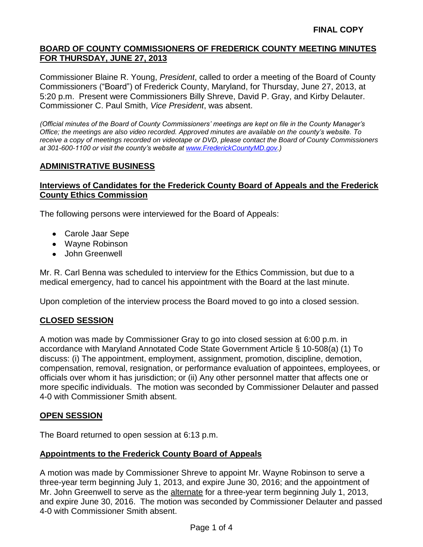Commissioner Blaine R. Young, *President*, called to order a meeting of the Board of County Commissioners ("Board") of Frederick County, Maryland, for Thursday, June 27, 2013, at 5:20 p.m. Present were Commissioners Billy Shreve, David P. Gray, and Kirby Delauter. Commissioner C. Paul Smith, *Vice President*, was absent.

*(Official minutes of the Board of County Commissioners' meetings are kept on file in the County Manager's Office; the meetings are also video recorded. Approved minutes are available on the county's website. To receive a copy of meetings recorded on videotape or DVD, please contact the Board of County Commissioners at 301-600-1100 or visit the county's website at [www.FrederickCountyMD.gov.](http://www.frederickcountymd.gov/))*

### **ADMINISTRATIVE BUSINESS**

### **Interviews of Candidates for the Frederick County Board of Appeals and the Frederick County Ethics Commission**

The following persons were interviewed for the Board of Appeals:

- Carole Jaar Sepe
- Wayne Robinson
- John Greenwell

Mr. R. Carl Benna was scheduled to interview for the Ethics Commission, but due to a medical emergency, had to cancel his appointment with the Board at the last minute.

Upon completion of the interview process the Board moved to go into a closed session.

#### **CLOSED SESSION**

A motion was made by Commissioner Gray to go into closed session at 6:00 p.m. in accordance with Maryland Annotated Code State Government Article § 10-508(a) (1) To discuss: (i) The appointment, employment, assignment, promotion, discipline, demotion, compensation, removal, resignation, or performance evaluation of appointees, employees, or officials over whom it has jurisdiction; or (ii) Any other personnel matter that affects one or more specific individuals. The motion was seconded by Commissioner Delauter and passed 4-0 with Commissioner Smith absent.

#### **OPEN SESSION**

The Board returned to open session at 6:13 p.m.

#### **Appointments to the Frederick County Board of Appeals**

A motion was made by Commissioner Shreve to appoint Mr. Wayne Robinson to serve a three-year term beginning July 1, 2013, and expire June 30, 2016; and the appointment of Mr. John Greenwell to serve as the alternate for a three-year term beginning July 1, 2013, and expire June 30, 2016. The motion was seconded by Commissioner Delauter and passed 4-0 with Commissioner Smith absent.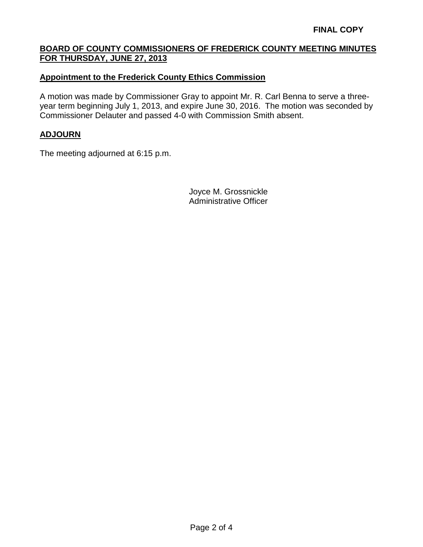### **Appointment to the Frederick County Ethics Commission**

A motion was made by Commissioner Gray to appoint Mr. R. Carl Benna to serve a threeyear term beginning July 1, 2013, and expire June 30, 2016. The motion was seconded by Commissioner Delauter and passed 4-0 with Commission Smith absent.

#### **ADJOURN**

The meeting adjourned at 6:15 p.m.

Joyce M. Grossnickle Administrative Officer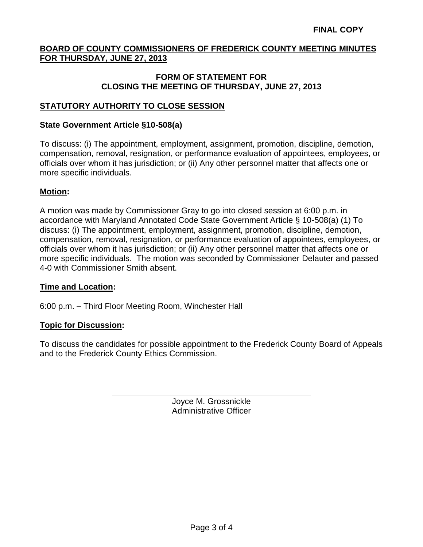#### **FORM OF STATEMENT FOR CLOSING THE MEETING OF THURSDAY, JUNE 27, 2013**

## **STATUTORY AUTHORITY TO CLOSE SESSION**

#### **State Government Article §10-508(a)**

To discuss: (i) The appointment, employment, assignment, promotion, discipline, demotion, compensation, removal, resignation, or performance evaluation of appointees, employees, or officials over whom it has jurisdiction; or (ii) Any other personnel matter that affects one or more specific individuals.

#### **Motion:**

A motion was made by Commissioner Gray to go into closed session at 6:00 p.m. in accordance with Maryland Annotated Code State Government Article § 10-508(a) (1) To discuss: (i) The appointment, employment, assignment, promotion, discipline, demotion, compensation, removal, resignation, or performance evaluation of appointees, employees, or officials over whom it has jurisdiction; or (ii) Any other personnel matter that affects one or more specific individuals. The motion was seconded by Commissioner Delauter and passed 4-0 with Commissioner Smith absent.

#### **Time and Location:**

6:00 p.m. – Third Floor Meeting Room, Winchester Hall

#### **Topic for Discussion:**

To discuss the candidates for possible appointment to the Frederick County Board of Appeals and to the Frederick County Ethics Commission.

> Joyce M. Grossnickle Administrative Officer